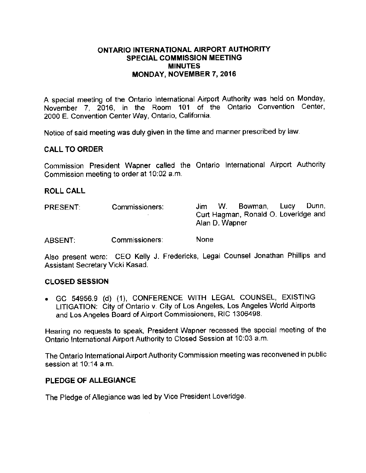### ONTARIO INTERNATIONAL AIRPORT AUTHORITY SPECIAL COMMISSION MEETING MINUTES MONDAY, NOVEMBER 7, 2016

A special meeting of the Ontario International Airport Authority was held on Monday, November 7, 2016, in the Room 101 of the Ontario Convention Center, 2000 E. Convention Center Way, Ontario, California.

Notice of said meeting was duly given in the time and manner prescribed by law.

## CALL TO ORDER

Commission President Wapner called the Ontario International Airport Authority Commission meeting to order at 10:02 a.m.

#### ROLL CALL

| <b>PRESENT:</b> | Commissioners: | Dunn.<br>Bowman, Lucy<br>W.<br>Jim.                    |
|-----------------|----------------|--------------------------------------------------------|
|                 |                | Curt Hagman, Ronald O. Loveridge and<br>Alan D. Wapner |
| <b>ABSENT</b>   | Commissioners: | None                                                   |

Also present were: CEO Kelly J. Fredericks, Legal Counsel Jonathan Phillips and Assistant Secretary Vicki Kasad.

#### CLOSED SESSION

• GC 54956.9 (d) (1), CONFERENCE WITH LEGAL COUNSEL, EXISTING LITIGATION: City of Ontario v. City of Los Angeles, Los Angeles World Airports and Los Angeles Board of Airport Commissioners, RIC 1306498.

Hearing no requests to speak, President Wapner recessed the special meeting of the Ontario International Airport Authority to Closed Session at 10:03 a.m.

The Ontario International Airport Authority Commission meeting was reconvened in public session at 10:14 a.m.

## PLEDGE OF ALLEGIANCE

The Pledge of Allegiance was led by Vice President Loveridge.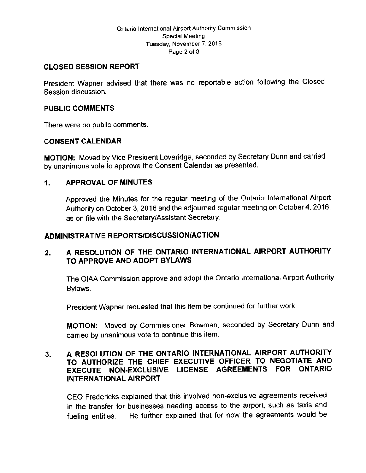#### Ontario International Airport Authority Commission Special Meeting Tuesday, November 7, 2016 Page 2 of <sup>S</sup>

## CLOSED SESSION REPORT

President Wapner advised that there was no reportable action following the Closed Session discussion.

### PUBLIC COMMENTS

There were no public comments.

## CONSENT CALENDAR

MOTION: Moved by Vice President Loveridge, seconded by Secretary Dunn and carried by unanimous vote to approve the Consent Calendar as presented.

## 1. APPROVAL OF MINUTES

Approved the Minutes for the regular meeting of the Ontario International Airport Authority on October 3, 2016 and the adjourned regular meeting on October 4, 2016, as on file with the Secretary/Assistant Secretary.

## ADMINISTRATIVE REPORTS/DISCUSSION/ACTION

# 2. A RESOLUTION OF THE ONTARIO INTERNATIONAL AIRPORT AUTHORITY TO APPROVE AND ADOPT BYLAWS

The OIAA Commission approve and adopt the Ontario International Airport Authority Bylaws.

President Wapner requested that this item be continued for further work.

MOTION: Moved by Commissioner Bowman, seconded by Secretary Dunn and carried by unanimous vote to continue this item.

# 3. A RESOLUTION OF THE ONTARIO INTERNATIONAL AIRPORT AUTHORITY TO AUTHORIZE THE CHIEF EXECUTIVE OFFICER TO NEGOTIATE AND EXECUTE NON-EXCLUSIVE LICENSE AGREEMENTS FOR ONTARIO INTERNATIONAL AIRPORT

CEO Fredericks explained that this involved non-exclusive agreements received in the transfer for businesses needing access to the airport, such as taxis and fueling entities. He further explained that for now the agreements would be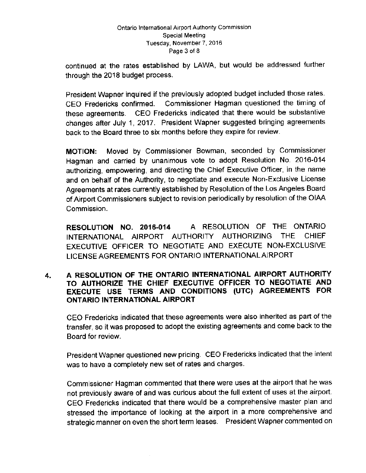#### Ontario International Airport Authority Commission Special Meeting Tuesday, November 7, 2016 Page 3 of 8

continued at the rates established by LAWA, but would be addressed further through the 2018 budget process.

President Wapner inquired if the previously adopted budget included those rates. CEO Fredericks confirmed. Commissioner Hagman questioned the timing of these agreements. CEO Fredericks indicated that there would be substantive changes after July 1, 2017. President Wapner suggested bringing agreements back to the Board three to six months before they expire for review.

MOTION: Moved by Commissioner Bowman, seconded by Commissioner Hagman and carried by unanimous vote to adopt Resolution No. 2016-014 authorizing, empowering, and directing the Chief Executive Officer, in the name and on behalf of the Authority, to negotiate and execute Non-Exclusive License Agreements at rates currently established by Resolution of the Los Angeles Board of Airport Commissioners subject to revision periodically by resolution of the OIAA Commission.

RESOLUTION NO. 2016-014 A RESOLUTION OF THE ONTARIO INTERNATIONAL AIRPORT AUTHORITY AUTHORIZING THE CHIEF EXECUTIVE OFFICER TO NEGOTIATE AND EXECUTE NON-EXCLUSIVE LICENSE AGREEMENTS FOR ONTARIO INTERNATIONAL AIRPORT

## 4. A RESOLUTION OF THE ONTARIO INTERNATIONAL AIRPORT AUTHORITY TO AUTHORIZE THE CHIEF EXECUTIVE OFFICER TO NEGOTIATE AND EXECUTE USE TERMS AND CONDITIONS (UTC) AGREEMENTS FOR ONTARIO INTERNATIONAL AIRPORT

CEO Fredericks indicated that these agreements were also inherited as part of the transfer, so it was proposed to adopt the existing agreements and come back to the Board for review.

President Wapner questioned new pricing. CEO Fredericks indicated that the intent was to have a completely new set of rates and charges.

Commissioner Hagman commented that there were uses at the airport that he was not previously aware of and was curious about the full extent of uses at the airport. CEO Fredericks indicated that there would be a comprehensive master plan and stressed the importance of looking at the airport in a more comprehensive and strategic manner on even the short term leases. President Wapner commented on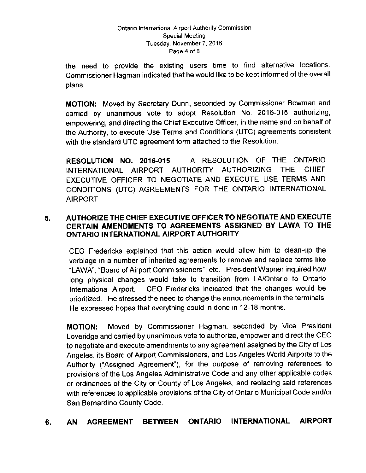#### Ontario International Airport Authority Commission Special Meeting Tuesday, November 7, 2016 Page 4 of 8

the need to provide the existing users time to find alternative locations. Commissioner Hagman indicated that he would like to be kept informed of the overall plans.

MOTION: Moved by Secretary Dunn, seconded by Commissioner Bowman and carried by unanimous vote to adopt Resolution No. 2016-015 authorizing, empowering, and directing the Chief Executive Officer, in the name and on behalf of the Authority, to execute Use Terms and Conditions ( UTC) agreements consistent with the standard UTC agreement form attached to the Resolution.

RESOLUTION NO. 2016-015 A RESOLUTION OF THE ONTARIO INTERNATIONAL AIRPORT AUTHORITY AUTHORIZING THE CHIEF EXECUTIVE OFFICER TO NEGOTIATE AND EXECUTE USE TERMS AND CONDITIONS ( UTC) AGREEMENTS FOR THE ONTARIO INTERNATIONAL AIRPORT

## 5. AUTHORIZE THE CHIEF EXECUTIVE OFFICER TO NEGOTIATE AND EXECUTE CERTAIN AMENDMENTS TO AGREEMENTS ASSIGNED BY LAWA TO THE ONTARIO INTERNATIONAL AIRPORT AUTHORITY

CEO Fredericks explained that this action would allow him to clean-up the verbiage in a number of inherited agreements to remove and replace terms like LAWK, 'Board of Airport Commissioners", etc. President Wapner inquired how long physical changes would take to transition from LA/Ontario to Ontario International Airport. CEO Fredericks indicated that the changes would be prioritized. He stressed the need to change the announcements in the terminals. He expressed hopes that everything could in done in 12-18 months.

MOTION: Moved by Commissioner Hagman, seconded by Vice President Loveridge and carried by unanimous vote to authorize, empower and direct the CEO to negotiate and execute amendments to any agreement assigned by the City of Los Angeles, its Board of Airport Commissioners, and Los Angeles World Airports to the Authority ("Assigned Agreement"), for the purpose of removing references to provisions of the Los Angeles Administrative Code and any other applicable codes or ordinances of the City or County of Los Angeles, and replacing said references with references to applicable provisions of the City of Ontario Municipal Code and/or San Bernardino County Code.

# 6. AN AGREEMENT BETWEEN ONTARIO INTERNATIONAL AIRPORT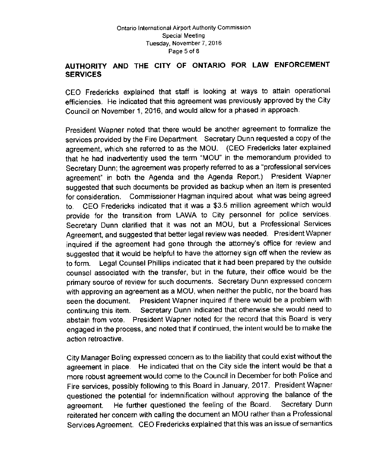# AUTHORITY AND THE CITY OF ONTARIO FOR LAW ENFORCEMENT SERVICES

CEO Fredericks explained that staff is looking at ways to attain operational efficiencies. He indicated that this agreement was previously approved by the City Council on November 1, 2016, and would allow for a phased in approach.

President Wapner noted that there would be another agreement to formalize the services provided by the Fire Department. Secretary Dunn requested a copy of the agreement, which she referred to as the MOU. ( CEO Fredericks later explained that he had inadvertently used the term "MOU" in the memorandum provided to Secretary Dunn; the agreement was properly referred to as a " professional services agreement" in both the Agenda and the Agenda Report.) President Wapner suggested that such documents be provided as backup when an item is presented for consideration. Commissioner Hagman inquired about what was being agreed to. CEO Fredericks indicated that it was a \$3.5 million agreement which would provide for the transition from LAWA to City personnel for police services. Secretary Dunn clarified that it was not an MOU, but a Professional Services Agreement, and suggested that better legal review was needed. President Wapner inquired if the agreement had gone through the attorney's office for review and suggested that it would be helpful to have the attorney sign off when the review as to form. Legal Counsel Phillips indicated that it had been prepared by the outside counsel associated with the transfer, but in the future, their office would be the primary source of review for such documents. Secretary Dunn expressed concern with approving an agreement as a MOU, when neither the public, nor the board has seen the document. President Wapner inquired if there would be a problem with continuing this item. Secretary Dunn indicated that otherwise she would need to abstain from vote. President Wapner noted for the record that this Board is very engaged in the process, and noted that if continued, the intent would be to make the action retroactive.

City Manager Boling expressed concern as to the liability that could exist without the agreement in place. He indicated that on the City side the intent would be that a more robust agreement would come to the Council in December for both Police and Fire services, possibly following to this Board in January, 2017. President Wapner questioned the potential for indemnification without approving the balance of the agreement. He further questioned the feeling of the Board. Secretary Dunn reiterated her concern with calling the document an MOU rather than a Professional Services Agreement, CEO Fredericks explained that this was an issue of semantics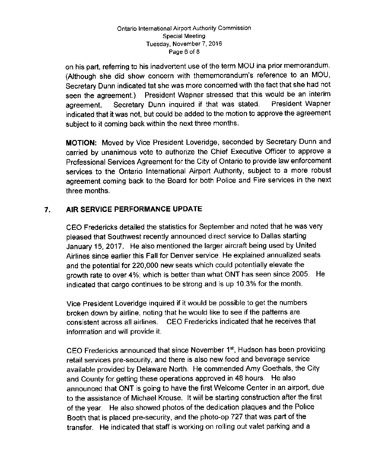#### Ontario International Airport Authority Commission Special Meeting Tuesday, November 7, 2016 Page 6 of 8

on his part, referring to his inadvertent use of the term MOU ina prior memorandum. (Although she did show concern with thememorandum's reference to an MOU, Secretary Dunn indicated tat she was more concerned with the fact that she had not seen the agreement.) President Wapner stressed that this would be an interim agreement. Secretary Dunn inquired if that was stated. President Wapner indicated that it was not, but could be added to the motion to approve the agreement subject to it coming back within the next three months.

MOTION: Moved by Vice President Loveridge, seconded by Secretary Dunn and carried by unanimous vote to authorize the Chief Executive Officer to approve a Professional Services Agreement for the City of Ontario to provide law enforcement services to the Ontario International Airport Authority, subject to a more robust agreement coming back to the Board for both Police and Fire services in the next three months.

# 7. AIR SERVICE PERFORMANCE UPDATE

CEO Fredericks detailed the statistics for September and noted that he was very pleased that Southwest recently announced direct service to Dallas starting January 15, 2017. He also mentioned the larger aircraft being used by United Airlines since earlier this Fall for Denver service. He explained annualized seats and the potential for 220,000 new seats which could potentially elevate the growth rate to over 4%; which is better than what ONT has seen since 2005. He indicated that cargo continues to be strong and is up 10. 3% for the month.

Vice President Loveridge inquired if it would be possible to get the numbers broken down by airline, noting that he would like to see if the patterns are consistent across all airlines. CEO Fredericks indicated that he receives that information and will provide it.

CEO Fredericks announced that since November 13t, Hudson has been providing retail services pre-security, and there is also new food and beverage service available provided by Delaware North. He commended Amy Goethals, the City and County for getting these operations approved in 48 hours. He also announced that ONT is going to have the first Welcome Center in an airport, due to the assistance of Michael Krouse. It will be starting construction after the first of the year. He also showed photos of the dedication plaques and the Police Booth that is placed pre- security, and the photo-op 727 that was part of the transfer. He indicated that staff is working on rolling out valet parking and <sup>a</sup>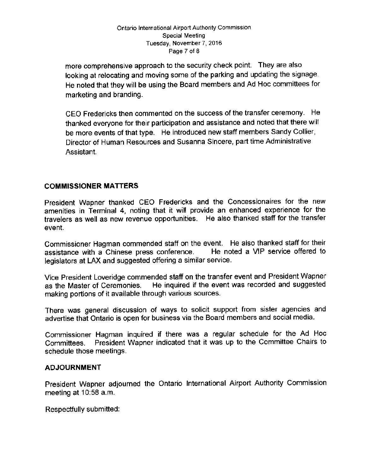#### Ontario International Airport Authority Commission Special Meeting Tuesday, November 7, 2016 Page 7 of 8

more comprehensive approach to the security check point. They are also looking at relocating and moving some of the parking and updating the signage. He noted that they will be using the Board members and Ad Hoc committees for marketing and branding.

CEO Fredericks then commented on the success of the transfer ceremony. He thanked everyone for their participation and assistance and noted that there will be more events of that type. He introduced new staff members Sandy Collier, Director of Human Resources and Susanna Sincere, part time Administrative Assistant.

# COMMISSIONER MATTERS

President Wapner thanked CEO Fredericks and the Concessionaires for the new amenities in Terminal 4, noting that it will provide an enhanced experience for the travelers as well as new revenue opportunities. He also thanked staff for the transfer event.

Commissioner Hagman commended staff on the event. He also thanked staff for their<br>assistance with a Chinese press conference. He noted a VIP service offered to assistance with a Chinese press conference. legislators at LAX and suggested offering a similar service.

Vice President Loveridge commended staff on the transfer event and President Wapner as the Master of Ceremonies. He inquired if the event was recorded and suggested making portions of it available through various sources.

There was general discussion of ways to solicit support from sister agencies and advertise that Ontario is open for business via the Board members and social media.

Commissioner Hagman inquired if there was a regular schedule for the Ad Hoc Committees. President Wapner indicated that it was up to the Committee Chairs to schedule those meetings.

## ADJOURNMENT

President Wapner adjourned the Ontario International Airport Authority Commission meeting at  $10:58$  a.m.

Respectfully submitted: